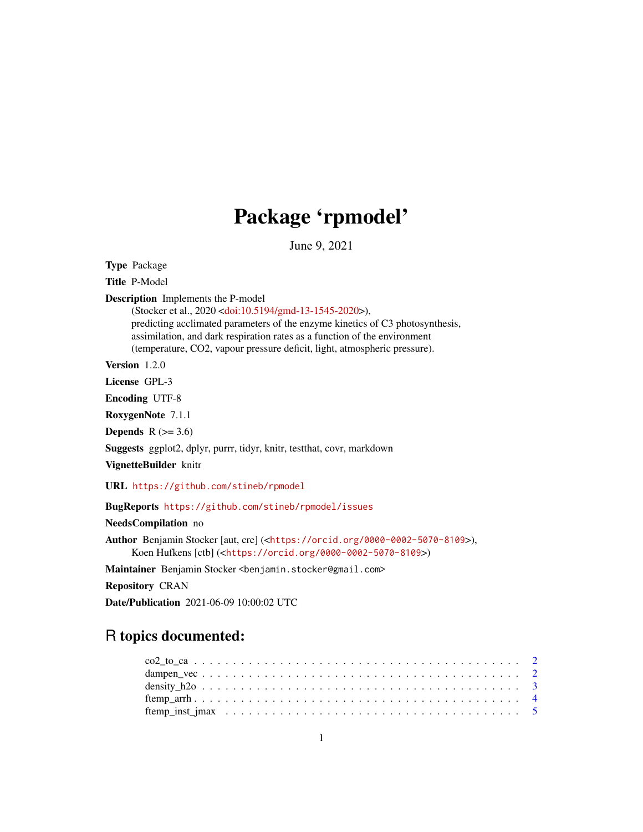# Package 'rpmodel'

June 9, 2021

Type Package

Title P-Model

Description Implements the P-model

(Stocker et al., 2020 [<doi:10.5194/gmd-13-1545-2020>](https://doi.org/10.5194/gmd-13-1545-2020)), predicting acclimated parameters of the enzyme kinetics of C3 photosynthesis, assimilation, and dark respiration rates as a function of the environment (temperature, CO2, vapour pressure deficit, light, atmospheric pressure).

Version 1.2.0

License GPL-3

Encoding UTF-8

RoxygenNote 7.1.1

Depends  $R$  ( $>= 3.6$ )

Suggests ggplot2, dplyr, purrr, tidyr, knitr, testthat, covr, markdown

VignetteBuilder knitr

URL <https://github.com/stineb/rpmodel>

BugReports <https://github.com/stineb/rpmodel/issues>

NeedsCompilation no

Author Benjamin Stocker [aut, cre] (<<https://orcid.org/0000-0002-5070-8109>>), Koen Hufkens [ctb] (<<https://orcid.org/0000-0002-5070-8109>>)

Maintainer Benjamin Stocker <benjamin.stocker@gmail.com>

Repository CRAN

Date/Publication 2021-06-09 10:00:02 UTC

# R topics documented:

| $co2_to_ca 2$ |  |  |  |  |  |  |  |  |  |  |  |  |  |  |  |  |  |  |  |
|---------------|--|--|--|--|--|--|--|--|--|--|--|--|--|--|--|--|--|--|--|
|               |  |  |  |  |  |  |  |  |  |  |  |  |  |  |  |  |  |  |  |
|               |  |  |  |  |  |  |  |  |  |  |  |  |  |  |  |  |  |  |  |
|               |  |  |  |  |  |  |  |  |  |  |  |  |  |  |  |  |  |  |  |
|               |  |  |  |  |  |  |  |  |  |  |  |  |  |  |  |  |  |  |  |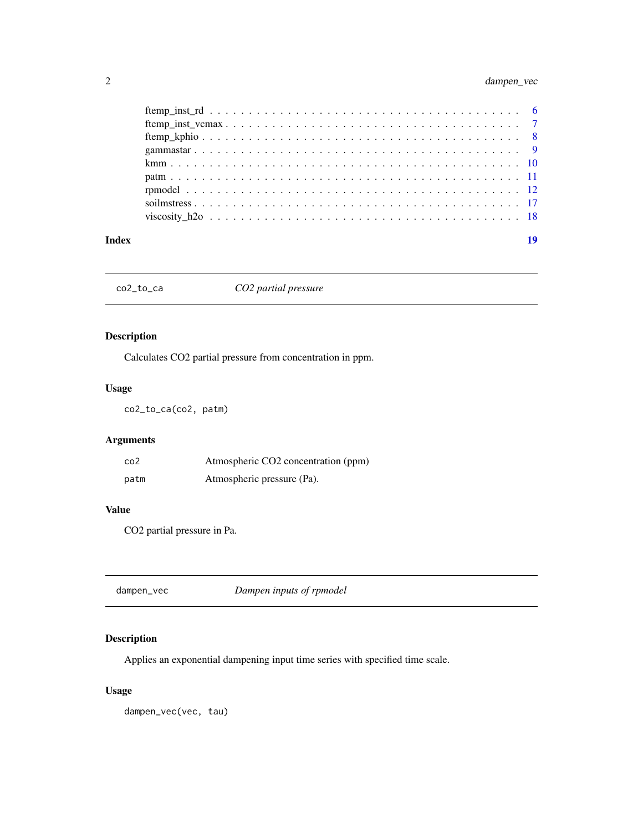<span id="page-1-0"></span>

| Index | 19 |
|-------|----|

co2\_to\_ca *CO2 partial pressure*

# Description

Calculates CO2 partial pressure from concentration in ppm.

# Usage

co2\_to\_ca(co2, patm)

# Arguments

| co <sub>2</sub> | Atmospheric CO2 concentration (ppm) |
|-----------------|-------------------------------------|
| patm            | Atmospheric pressure (Pa).          |

# Value

CO2 partial pressure in Pa.

|  | dampen_vec | Dampen inputs of rpmodel |  |
|--|------------|--------------------------|--|
|--|------------|--------------------------|--|

# Description

Applies an exponential dampening input time series with specified time scale.

# Usage

dampen\_vec(vec, tau)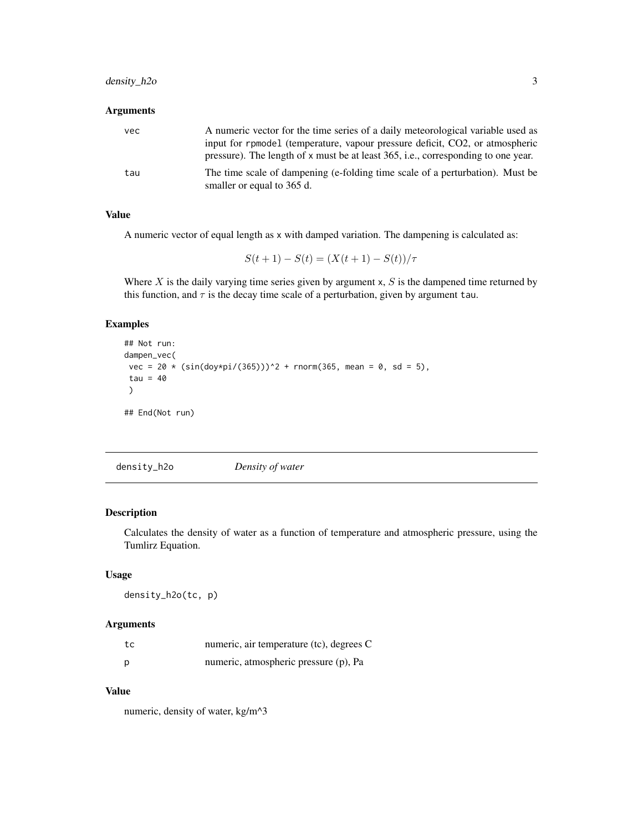# <span id="page-2-0"></span>density\_h2o 3

# Arguments

| vec | A numeric vector for the time series of a daily meteorological variable used as<br>input for rpmodel (temperature, vapour pressure deficit, CO2, or atmospheric<br>pressure). The length of x must be at least 365, i.e., corresponding to one year. |
|-----|------------------------------------------------------------------------------------------------------------------------------------------------------------------------------------------------------------------------------------------------------|
| tau | The time scale of dampening (e-folding time scale of a perturbation). Must be<br>smaller or equal to 365 d.                                                                                                                                          |

# Value

A numeric vector of equal length as x with damped variation. The dampening is calculated as:

 $S(t + 1) - S(t) = (X(t + 1) - S(t))/\tau$ 

Where  $X$  is the daily varying time series given by argument  $x$ ,  $S$  is the dampened time returned by this function, and  $\tau$  is the decay time scale of a perturbation, given by argument tau.

# Examples

```
## Not run:
dampen_vec(
vec = 20 * (sin(doy*pi/(365)))<sup>2</sup> + rnorm(365, mean = 0, sd = 5),
tau = 40)
## End(Not run)
```
density\_h2o *Density of water*

# Description

Calculates the density of water as a function of temperature and atmospheric pressure, using the Tumlirz Equation.

#### Usage

density\_h2o(tc, p)

### Arguments

| tc | numeric, air temperature (tc), degrees C |
|----|------------------------------------------|
| Ŋ  | numeric, atmospheric pressure (p), Pa    |

# Value

numeric, density of water, kg/m^3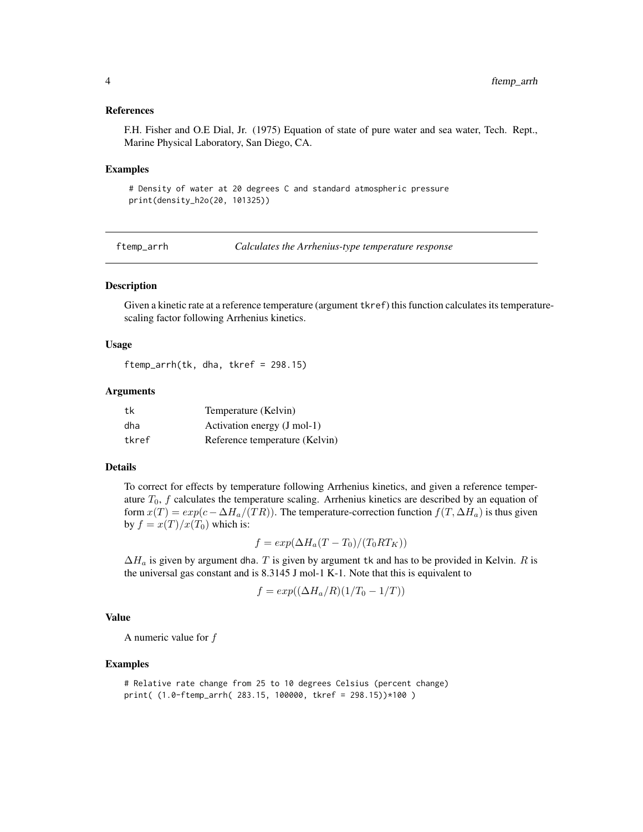#### <span id="page-3-0"></span>References

F.H. Fisher and O.E Dial, Jr. (1975) Equation of state of pure water and sea water, Tech. Rept., Marine Physical Laboratory, San Diego, CA.

#### Examples

# Density of water at 20 degrees C and standard atmospheric pressure print(density\_h2o(20, 101325))

<span id="page-3-1"></span>ftemp\_arrh *Calculates the Arrhenius-type temperature response*

### **Description**

Given a kinetic rate at a reference temperature (argument tkref) this function calculates its temperaturescaling factor following Arrhenius kinetics.

#### Usage

ftemp\_arrh(tk, dha, tkref = 298.15)

#### Arguments

| tk    | Temperature (Kelvin)           |
|-------|--------------------------------|
| dha   | Activation energy (J mol-1)    |
| tkref | Reference temperature (Kelvin) |

# Details

To correct for effects by temperature following Arrhenius kinetics, and given a reference temperature  $T_0$ ,  $f$  calculates the temperature scaling. Arrhenius kinetics are described by an equation of form  $x(T) = exp(c - \Delta H_a/(TR))$ . The temperature-correction function  $f(T, \Delta H_a)$  is thus given by  $f = x(T)/x(T_0)$  which is:

$$
f = exp(\Delta H_a (T - T_0)/(T_0 RT_K))
$$

 $\Delta H_a$  is given by argument dha. T is given by argument tk and has to be provided in Kelvin. R is the universal gas constant and is 8.3145 J mol-1 K-1. Note that this is equivalent to

$$
f = exp((\Delta H_a/R)(1/T_0 - 1/T))
$$

# Value

A numeric value for f

#### Examples

```
# Relative rate change from 25 to 10 degrees Celsius (percent change)
print( (1.0-ftemp_arrh( 283.15, 100000, tkref = 298.15))*100 )
```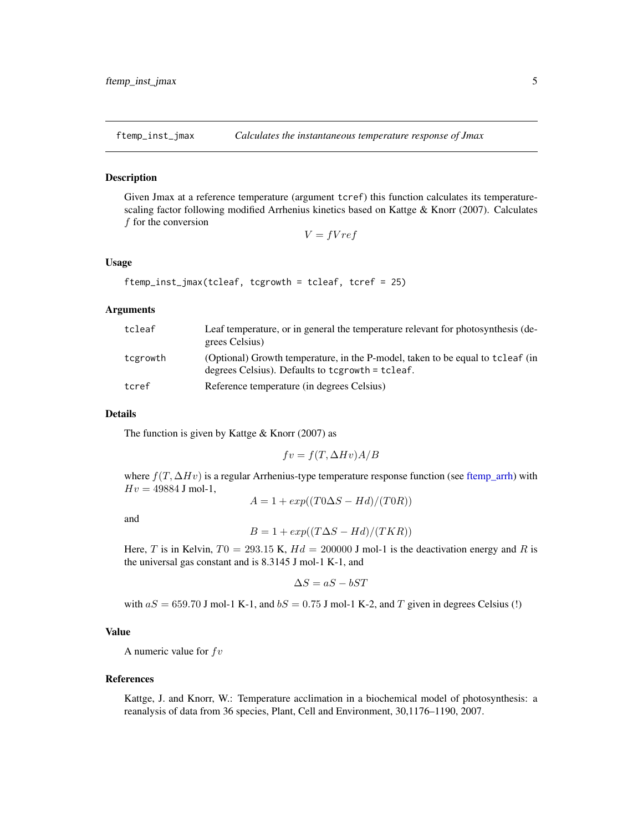<span id="page-4-0"></span>

#### Description

Given Jmax at a reference temperature (argument tcref) this function calculates its temperaturescaling factor following modified Arrhenius kinetics based on Kattge & Knorr (2007). Calculates f for the conversion

 $V = fVref$ 

#### Usage

```
ftemp_inst_jmax(tcleaf, tcgrowth = tcleaf, tcref = 25)
```
#### Arguments

| tcleaf   | Leaf temperature, or in general the temperature relevant for photosynthesis (de-<br>grees Celsius)                                 |
|----------|------------------------------------------------------------------------------------------------------------------------------------|
| tcgrowth | (Optional) Growth temperature, in the P-model, taken to be equal to tcleaf (in<br>degrees Celsius). Defaults to tcgrowth = tcleaf. |
| tcref    | Reference temperature (in degrees Celsius)                                                                                         |

#### Details

The function is given by Kattge  $&$  Knorr (2007) as

$$
fv = f(T,\Delta H v) A/B
$$

where  $f(T, \Delta Hv)$  is a regular Arrhenius-type temperature response function (see [ftemp\\_arrh\)](#page-3-1) with  $Hv = 49884$  J mol-1,

$$
A = 1 + exp((T0\Delta S - Hd)/(T0R))
$$

and

$$
B = 1 + exp((T\Delta S - Hd)/(TKR))
$$

Here, T is in Kelvin,  $T0 = 293.15$  K,  $Hd = 200000$  J mol-1 is the deactivation energy and R is the universal gas constant and is 8.3145 J mol-1 K-1, and

$$
\Delta S = aS - bST
$$

with  $aS = 659.70$  J mol-1 K-1, and  $bS = 0.75$  J mol-1 K-2, and T given in degrees Celsius (!)

#### Value

A numeric value for  $f\,$ 

#### References

Kattge, J. and Knorr, W.: Temperature acclimation in a biochemical model of photosynthesis: a reanalysis of data from 36 species, Plant, Cell and Environment, 30,1176–1190, 2007.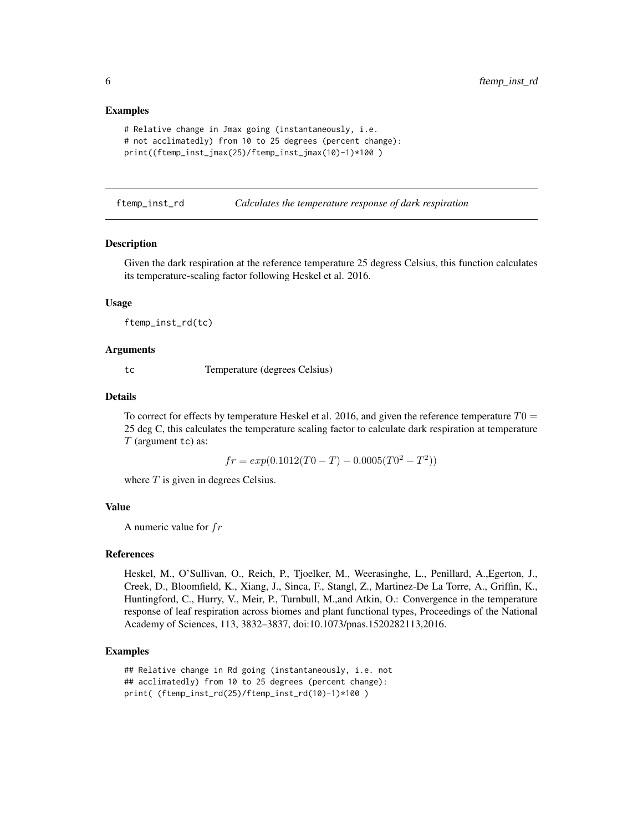#### Examples

```
# Relative change in Jmax going (instantaneously, i.e.
# not acclimatedly) from 10 to 25 degrees (percent change):
print((ftemp_inst_jmax(25)/ftemp_inst_jmax(10)-1)*100 )
```
<span id="page-5-1"></span>ftemp\_inst\_rd *Calculates the temperature response of dark respiration*

#### Description

Given the dark respiration at the reference temperature 25 degress Celsius, this function calculates its temperature-scaling factor following Heskel et al. 2016.

#### Usage

ftemp\_inst\_rd(tc)

#### Arguments

tc Temperature (degrees Celsius)

#### Details

To correct for effects by temperature Heskel et al. 2016, and given the reference temperature  $T0 =$ 25 deg C, this calculates the temperature scaling factor to calculate dark respiration at temperature  $T$  (argument tc) as:

 $fr = exp(0.1012(T0 - T) - 0.0005(T0^2 - T^2))$ 

where  $T$  is given in degrees Celsius.

### Value

A numeric value for fr

#### References

Heskel, M., O'Sullivan, O., Reich, P., Tjoelker, M., Weerasinghe, L., Penillard, A.,Egerton, J., Creek, D., Bloomfield, K., Xiang, J., Sinca, F., Stangl, Z., Martinez-De La Torre, A., Griffin, K., Huntingford, C., Hurry, V., Meir, P., Turnbull, M.,and Atkin, O.: Convergence in the temperature response of leaf respiration across biomes and plant functional types, Proceedings of the National Academy of Sciences, 113, 3832–3837, doi:10.1073/pnas.1520282113,2016.

#### Examples

```
## Relative change in Rd going (instantaneously, i.e. not
## acclimatedly) from 10 to 25 degrees (percent change):
print( (ftemp_inst_rd(25)/ftemp_inst_rd(10)-1)*100 )
```
<span id="page-5-0"></span>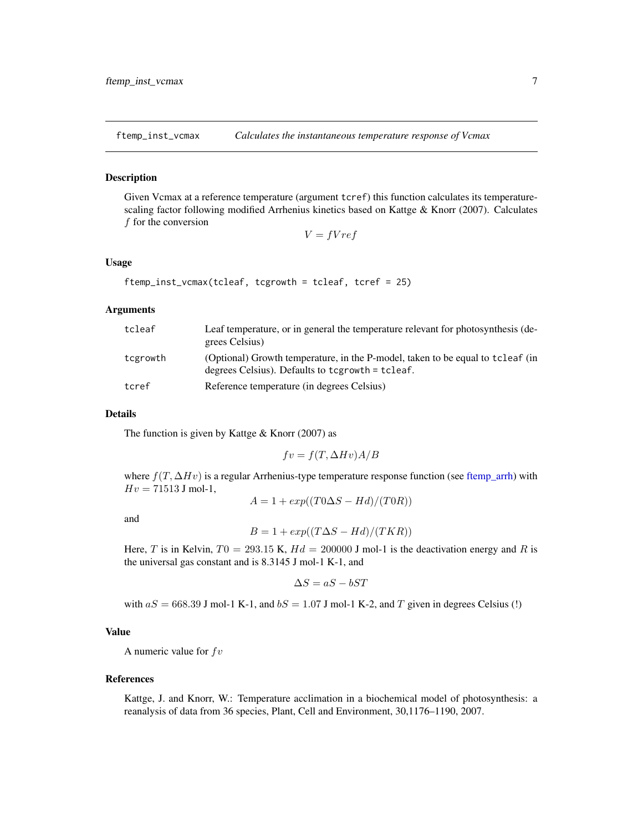<span id="page-6-1"></span><span id="page-6-0"></span>

#### Description

Given Vcmax at a reference temperature (argument tcref) this function calculates its temperaturescaling factor following modified Arrhenius kinetics based on Kattge & Knorr (2007). Calculates f for the conversion

 $V = fVref$ 

#### Usage

```
ftemp_inst_vcmax(tcleaf, tcgrowth = tcleaf, tcref = 25)
```
#### Arguments

| tcleaf   | Leaf temperature, or in general the temperature relevant for photosynthesis (de-<br>grees Celsius)                                 |
|----------|------------------------------------------------------------------------------------------------------------------------------------|
| tcgrowth | (Optional) Growth temperature, in the P-model, taken to be equal to tcleaf (in<br>degrees Celsius). Defaults to tcgrowth = tcleaf. |
| tcref    | Reference temperature (in degrees Celsius)                                                                                         |

#### Details

The function is given by Kattge  $&$  Knorr (2007) as

$$
fv = f(T,\Delta H v) A/B
$$

where  $f(T, \Delta Hv)$  is a regular Arrhenius-type temperature response function (see [ftemp\\_arrh\)](#page-3-1) with  $Hv = 71513$  J mol-1,

$$
A = 1 + exp((T0\Delta S - Hd)/(T0R))
$$

and

$$
B = 1 + exp((T\Delta S - Hd)/(TKR))
$$

Here, T is in Kelvin,  $T0 = 293.15$  K,  $Hd = 200000$  J mol-1 is the deactivation energy and R is the universal gas constant and is 8.3145 J mol-1 K-1, and

$$
\Delta S = aS - bST
$$

with  $aS = 668.39$  J mol-1 K-1, and  $bS = 1.07$  J mol-1 K-2, and T given in degrees Celsius (!)

#### Value

A numeric value for  $f\,$ 

#### References

Kattge, J. and Knorr, W.: Temperature acclimation in a biochemical model of photosynthesis: a reanalysis of data from 36 species, Plant, Cell and Environment, 30,1176–1190, 2007.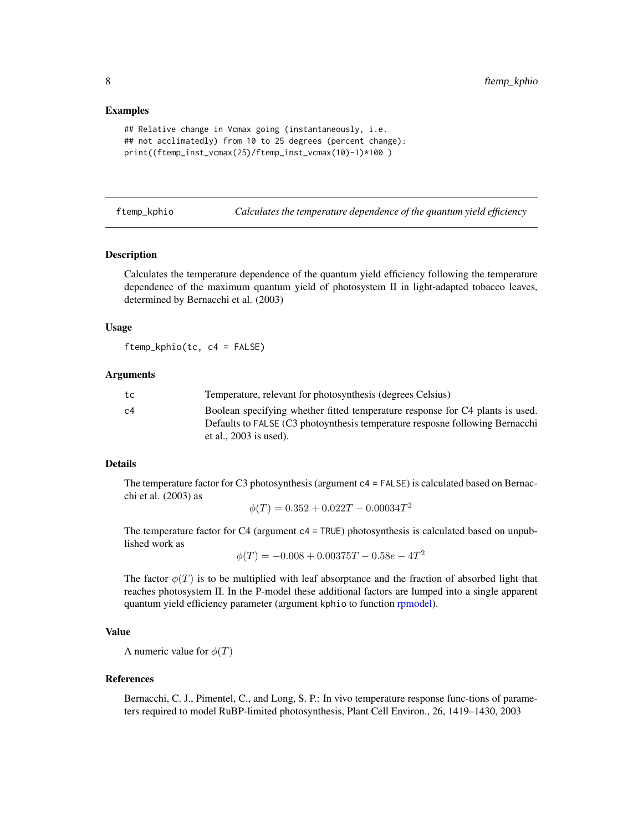#### <span id="page-7-0"></span>Examples

```
## Relative change in Vcmax going (instantaneously, i.e.
## not acclimatedly) from 10 to 25 degrees (percent change):
print((ftemp_inst_vcmax(25)/ftemp_inst_vcmax(10)-1)*100 )
```
<span id="page-7-1"></span>ftemp\_kphio *Calculates the temperature dependence of the quantum yield efficiency*

#### Description

Calculates the temperature dependence of the quantum yield efficiency following the temperature dependence of the maximum quantum yield of photosystem II in light-adapted tobacco leaves, determined by Bernacchi et al. (2003)

#### Usage

ftemp\_kphio(tc, c4 = FALSE)

# Arguments

| Temperature, relevant for photosynthesis (degrees Celsius)                                               |
|----------------------------------------------------------------------------------------------------------|
| Boolean specifying whether fitted temperature response for C4 plants is used.                            |
| Defaults to FALSE (C3 photoynthesis temperature resposne following Bernacchi<br>et al., $2003$ is used). |
|                                                                                                          |

# Details

The temperature factor for C3 photosynthesis (argument  $c4 = FALEE$ ) is calculated based on Bernacchi et al. (2003) as

$$
\phi(T) = 0.352 + 0.022T - 0.00034T^2
$$

The temperature factor for  $C4$  (argument  $c4 = TRUE$ ) photosynthesis is calculated based on unpublished work as

$$
\phi(T) = -0.008 + 0.00375T - 0.58e - 4T^2
$$

The factor  $\phi(T)$  is to be multiplied with leaf absorptance and the fraction of absorbed light that reaches photosystem II. In the P-model these additional factors are lumped into a single apparent quantum yield efficiency parameter (argument kphio to function [rpmodel\)](#page-11-1).

#### Value

A numeric value for  $\phi(T)$ 

#### References

Bernacchi, C. J., Pimentel, C., and Long, S. P.: In vivo temperature response func-tions of parameters required to model RuBP-limited photosynthesis, Plant Cell Environ., 26, 1419–1430, 2003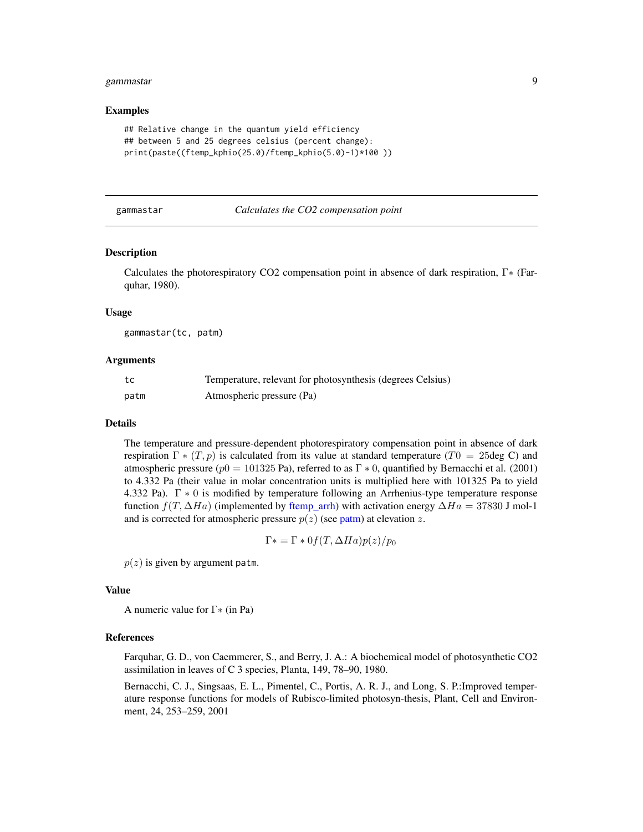#### <span id="page-8-0"></span>gammastar 9

#### Examples

```
## Relative change in the quantum yield efficiency
## between 5 and 25 degrees celsius (percent change):
print(paste((ftemp_kphio(25.0)/ftemp_kphio(5.0)-1)*100 ))
```
#### gammastar *Calculates the CO2 compensation point*

#### **Description**

Calculates the photorespiratory CO2 compensation point in absence of dark respiration, Γ∗ (Farquhar, 1980).

#### Usage

gammastar(tc, patm)

#### Arguments

| tc   | Temperature, relevant for photosynthesis (degrees Celsius) |
|------|------------------------------------------------------------|
| patm | Atmospheric pressure (Pa)                                  |

#### Details

The temperature and pressure-dependent photorespiratory compensation point in absence of dark respiration  $\Gamma * (T, p)$  is calculated from its value at standard temperature (T0 = 25deg C) and atmospheric pressure ( $p0 = 101325$  Pa), referred to as  $\Gamma * 0$ , quantified by Bernacchi et al. (2001) to 4.332 Pa (their value in molar concentration units is multiplied here with 101325 Pa to yield 4.332 Pa). Γ ∗ 0 is modified by temperature following an Arrhenius-type temperature response function  $f(T, \Delta Ha)$  (implemented by [ftemp\\_arrh\)](#page-3-1) with activation energy  $\Delta Ha = 37830$  J mol-1 and is corrected for atmospheric pressure  $p(z)$  (see [patm\)](#page-10-1) at elevation z.

$$
\Gamma * = \Gamma * 0f(T, \Delta Ha)p(z)/p_0
$$

 $p(z)$  is given by argument patm.

#### Value

A numeric value for Γ∗ (in Pa)

#### References

Farquhar, G. D., von Caemmerer, S., and Berry, J. A.: A biochemical model of photosynthetic CO2 assimilation in leaves of C 3 species, Planta, 149, 78–90, 1980.

Bernacchi, C. J., Singsaas, E. L., Pimentel, C., Portis, A. R. J., and Long, S. P.:Improved temperature response functions for models of Rubisco-limited photosyn-thesis, Plant, Cell and Environment, 24, 253–259, 2001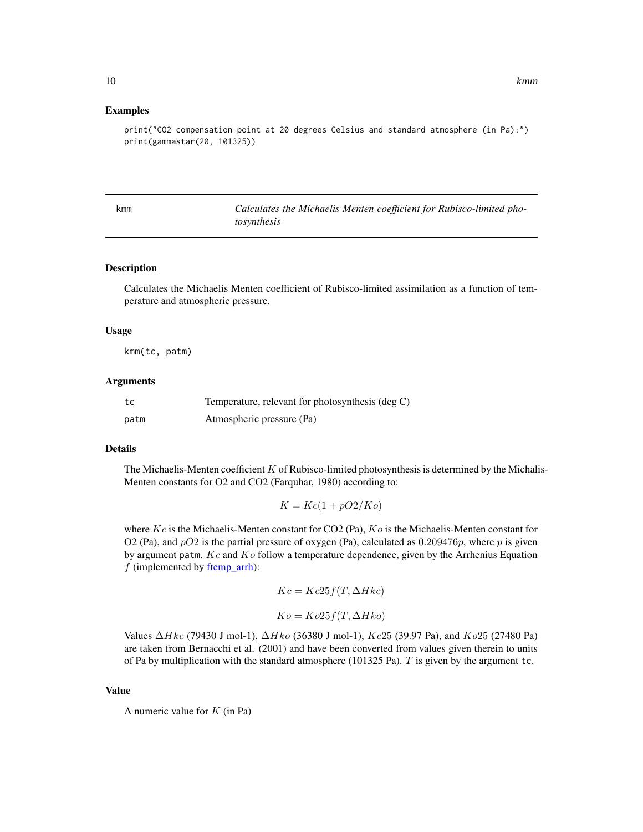#### Examples

```
print("CO2 compensation point at 20 degrees Celsius and standard atmosphere (in Pa):")
print(gammastar(20, 101325))
```
<span id="page-9-1"></span>kmm *Calculates the Michaelis Menten coefficient for Rubisco-limited photosynthesis*

#### Description

Calculates the Michaelis Menten coefficient of Rubisco-limited assimilation as a function of temperature and atmospheric pressure.

#### Usage

kmm(tc, patm)

#### Arguments

| tc   | Temperature, relevant for photosynthesis (deg C) |
|------|--------------------------------------------------|
| patm | Atmospheric pressure (Pa)                        |

#### Details

The Michaelis-Menten coefficient  $K$  of Rubisco-limited photosynthesis is determined by the Michalis-Menten constants for O2 and CO2 (Farquhar, 1980) according to:

$$
K = Kc(1 + pO2/Ko)
$$

where Kc is the Michaelis-Menten constant for CO2 (Pa),  $Ko$  is the Michaelis-Menten constant for O2 (Pa), and  $pO2$  is the partial pressure of oxygen (Pa), calculated as 0.209476p, where p is given by argument patm.  $Kc$  and  $Ko$  follow a temperature dependence, given by the Arrhenius Equation  $f$  (implemented by [ftemp\\_arrh\)](#page-3-1):

$$
Kc = Kc25f(T, \Delta Hkc)
$$

$$
Ko = Ko25f(T, \Delta Hko)
$$

Values  $\Delta H k c$  (79430 J mol-1),  $\Delta H k o$  (36380 J mol-1),  $Kc25$  (39.97 Pa), and  $Ko25$  (27480 Pa) are taken from Bernacchi et al. (2001) and have been converted from values given therein to units of Pa by multiplication with the standard atmosphere (101325 Pa). T is given by the argument tc.

#### Value

A numeric value for  $K$  (in Pa)

<span id="page-9-0"></span>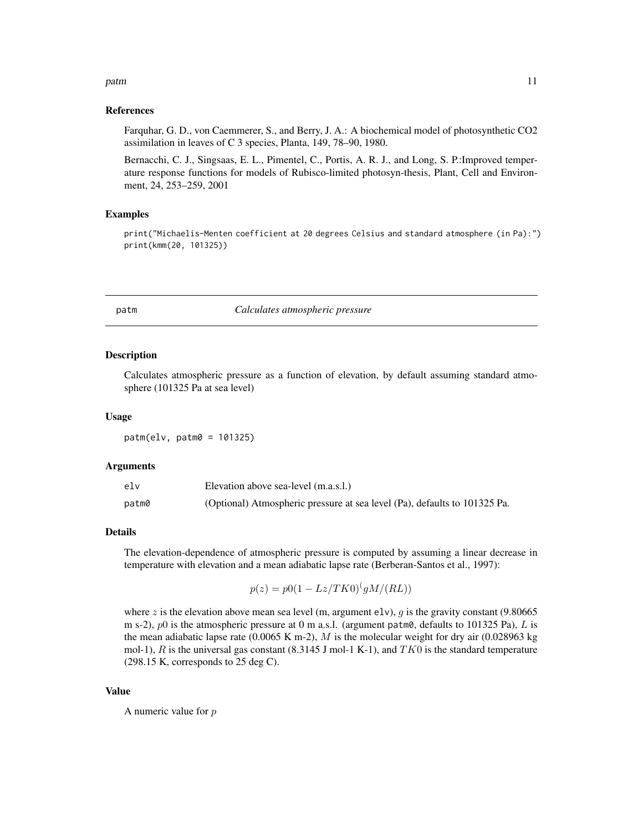#### <span id="page-10-0"></span>patm and the contract of the contract of the contract of the contract of the contract of the contract of the contract of the contract of the contract of the contract of the contract of the contract of the contract of the c

### References

Farquhar, G. D., von Caemmerer, S., and Berry, J. A.: A biochemical model of photosynthetic CO2 assimilation in leaves of C 3 species, Planta, 149, 78–90, 1980.

Bernacchi, C. J., Singsaas, E. L., Pimentel, C., Portis, A. R. J., and Long, S. P.:Improved temperature response functions for models of Rubisco-limited photosyn-thesis, Plant, Cell and Environment, 24, 253–259, 2001

### Examples

print("Michaelis-Menten coefficient at 20 degrees Celsius and standard atmosphere (in Pa):") print(kmm(20, 101325))

<span id="page-10-1"></span>

#### patm *Calculates atmospheric pressure*

#### Description

Calculates atmospheric pressure as a function of elevation, by default assuming standard atmosphere (101325 Pa at sea level)

#### Usage

patm(elv, patm0 = 101325)

# Arguments

| elv   | Elevation above sea-level (m.a.s.l.)                                      |
|-------|---------------------------------------------------------------------------|
| patm0 | (Optional) Atmospheric pressure at sea level (Pa), defaults to 101325 Pa. |

#### Details

The elevation-dependence of atmospheric pressure is computed by assuming a linear decrease in temperature with elevation and a mean adiabatic lapse rate (Berberan-Santos et al., 1997):

$$
p(z) = p0(1 - Lz/TK0)^{(g}M/(RL))
$$

where z is the elevation above mean sea level (m, argument elv), g is the gravity constant (9.80665 m s-2),  $p0$  is the atmospheric pressure at 0 m a.s.l. (argument patm0, defaults to 101325 Pa), L is the mean adiabatic lapse rate (0.0065 K m-2), M is the molecular weight for dry air (0.028963 kg) mol-1), R is the universal gas constant (8.3145 J mol-1 K-1), and  $TK0$  is the standard temperature  $(298.15 \text{ K}, \text{corresponds to } 25 \text{ deg C}).$ 

#### Value

A numeric value for  $p$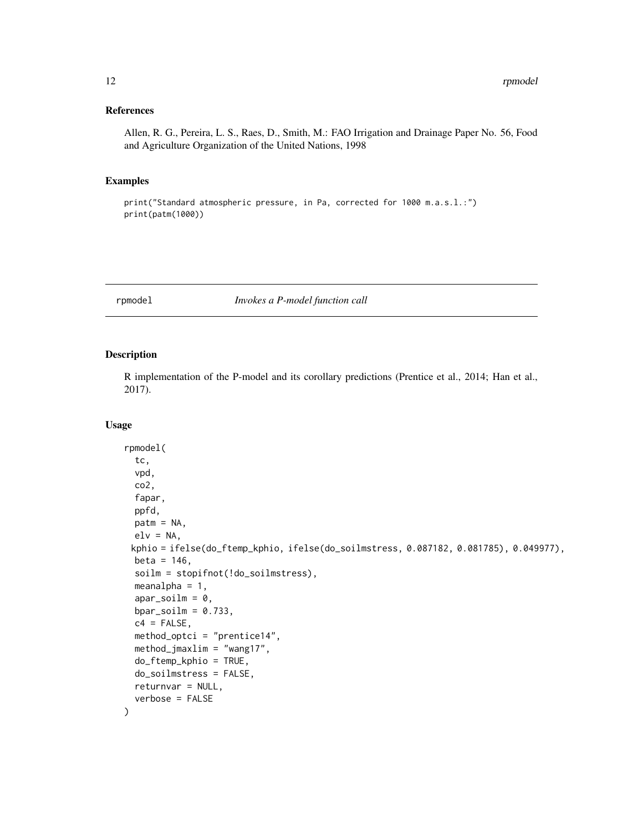# <span id="page-11-0"></span>References

Allen, R. G., Pereira, L. S., Raes, D., Smith, M.: FAO Irrigation and Drainage Paper No. 56, Food and Agriculture Organization of the United Nations, 1998

#### Examples

print("Standard atmospheric pressure, in Pa, corrected for 1000 m.a.s.l.:") print(patm(1000))

<span id="page-11-1"></span>rpmodel *Invokes a P-model function call*

#### Description

R implementation of the P-model and its corollary predictions (Prentice et al., 2014; Han et al., 2017).

#### Usage

```
rpmodel(
  tc,
  vpd,
  co2,
  fapar,
 ppfd,
 patm = NA,
 elv = NA,
 kphio = ifelse(do_ftemp_kphio, ifelse(do_soilmstress, 0.087182, 0.081785), 0.049977),
 beta = 146,
  soilm = stopifnot(!do_soilmstress),
 meanalpha = 1,
  apar\_soilm = 0,
 bpar\_soilm = 0.733,c4 = FALSE,
 method_optci = "prentice14",
 method_jmaxlim = "wang17",
 do_ftemp_kphio = TRUE,
  do_soilmstress = FALSE,
  returnvar = NULL,
  verbose = FALSE
)
```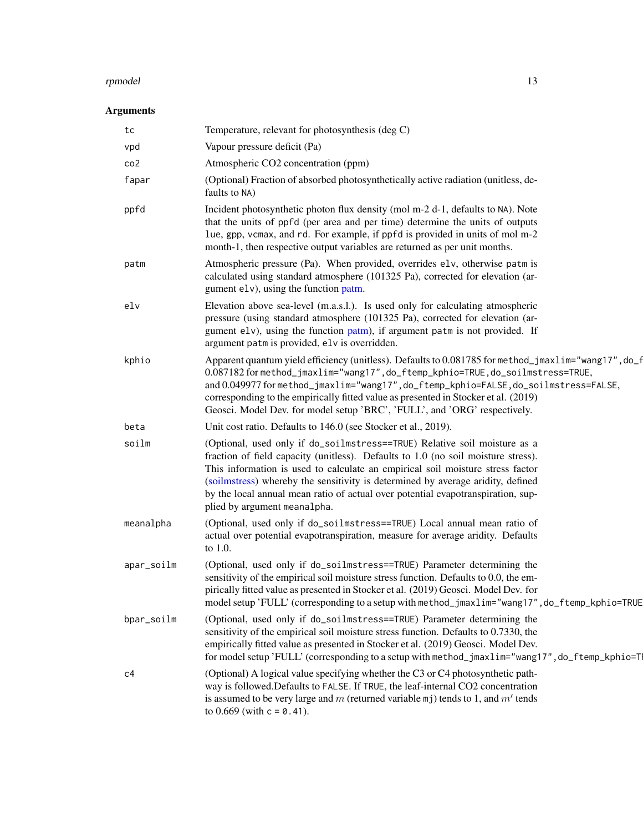#### <span id="page-12-0"></span>rpmodel and the state of the state of the state of the state of the state of the state of the state of the state of the state of the state of the state of the state of the state of the state of the state of the state of th

# Arguments

| tc              | Temperature, relevant for photosynthesis (deg C)                                                                                                                                                                                                                                                                                                                                                                                                        |
|-----------------|---------------------------------------------------------------------------------------------------------------------------------------------------------------------------------------------------------------------------------------------------------------------------------------------------------------------------------------------------------------------------------------------------------------------------------------------------------|
| vpd             | Vapour pressure deficit (Pa)                                                                                                                                                                                                                                                                                                                                                                                                                            |
| co <sub>2</sub> | Atmospheric CO2 concentration (ppm)                                                                                                                                                                                                                                                                                                                                                                                                                     |
| fapar           | (Optional) Fraction of absorbed photosynthetically active radiation (unitless, de-<br>faults to NA)                                                                                                                                                                                                                                                                                                                                                     |
| ppfd            | Incident photosynthetic photon flux density (mol m-2 d-1, defaults to NA). Note<br>that the units of ppfd (per area and per time) determine the units of outputs<br>lue, gpp, vcmax, and rd. For example, if ppfd is provided in units of mol m-2<br>month-1, then respective output variables are returned as per unit months.                                                                                                                         |
| patm            | Atmospheric pressure (Pa). When provided, overrides elv, otherwise patm is<br>calculated using standard atmosphere (101325 Pa), corrected for elevation (ar-<br>gument elv), using the function patm.                                                                                                                                                                                                                                                   |
| elv             | Elevation above sea-level (m.a.s.l.). Is used only for calculating atmospheric<br>pressure (using standard atmosphere (101325 Pa), corrected for elevation (ar-<br>gument elv), using the function patm), if argument patm is not provided. If<br>argument patm is provided, elv is overridden.                                                                                                                                                         |
| kphio           | Apparent quantum yield efficiency (unitless). Defaults to 0.081785 for method_jmaxlim="wang17", do_f<br>0.087182 for method_jmaxlim="wang17", do_ftemp_kphio=TRUE, do_soilmstress=TRUE,<br>and 0.049977 for method_jmaxlim="wang17", do_ftemp_kphio=FALSE, do_soilmstress=FALSE,<br>corresponding to the empirically fitted value as presented in Stocker et al. (2019)<br>Geosci. Model Dev. for model setup 'BRC', 'FULL', and 'ORG' respectively.    |
| beta            | Unit cost ratio. Defaults to 146.0 (see Stocker et al., 2019).                                                                                                                                                                                                                                                                                                                                                                                          |
| soilm           | (Optional, used only if do_soilmstress==TRUE) Relative soil moisture as a<br>fraction of field capacity (unitless). Defaults to 1.0 (no soil moisture stress).<br>This information is used to calculate an empirical soil moisture stress factor<br>(soilmstress) whereby the sensitivity is determined by average aridity, defined<br>by the local annual mean ratio of actual over potential evapotranspiration, sup-<br>plied by argument meanalpha. |
| meanalpha       | (Optional, used only if do_soilmstress==TRUE) Local annual mean ratio of<br>actual over potential evapotranspiration, measure for average aridity. Defaults<br>to 1.0.                                                                                                                                                                                                                                                                                  |
| apar_soilm      | (Optional, used only if do_soilmstress==TRUE) Parameter determining the<br>sensitivity of the empirical soil moisture stress function. Defaults to 0.0, the em-<br>pirically fitted value as presented in Stocker et al. (2019) Geosci. Model Dev. for<br>model setup 'FULL' (corresponding to a setup with method_jmaxlim="wang17", do_ftemp_kphio=TRUE                                                                                                |
| bpar_soilm      | (Optional, used only if do_soilmstress==TRUE) Parameter determining the<br>sensitivity of the empirical soil moisture stress function. Defaults to 0.7330, the<br>empirically fitted value as presented in Stocker et al. (2019) Geosci. Model Dev.<br>for model setup 'FULL' (corresponding to a setup with method_jmaxlim="wang17", do_ftemp_kphio=T                                                                                                  |
| c4              | (Optional) A logical value specifying whether the C3 or C4 photosynthetic path-<br>way is followed. Defaults to FALSE. If TRUE, the leaf-internal CO2 concentration<br>is assumed to be very large and m (returned variable $mj$ ) tends to 1, and m' tends<br>to $0.669$ (with $c = 0.41$ ).                                                                                                                                                           |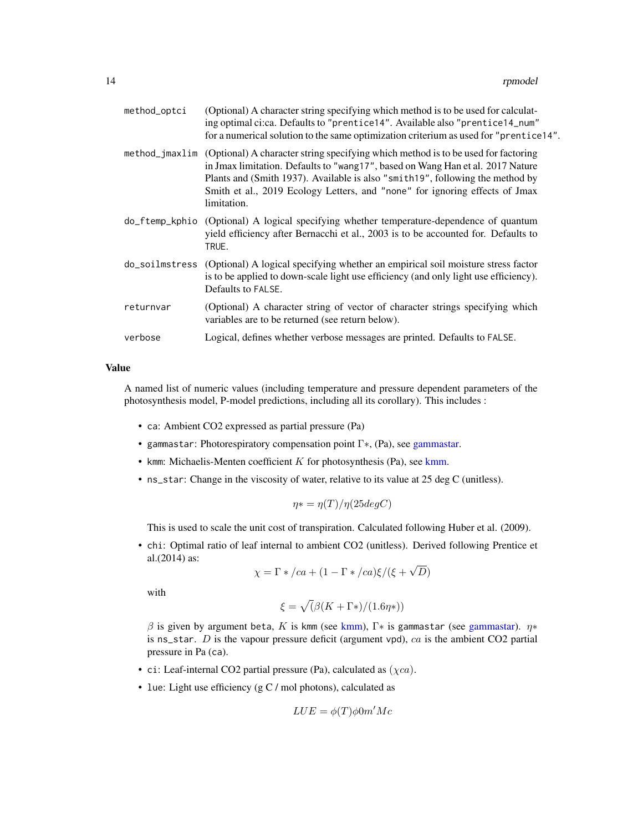<span id="page-13-0"></span>

| method_optci | (Optional) A character string specifying which method is to be used for calculat-<br>ing optimal ci:ca. Defaults to "prentice14". Available also "prentice14_num"<br>for a numerical solution to the same optimization criterium as used for "prentice14".                                                                                                         |
|--------------|--------------------------------------------------------------------------------------------------------------------------------------------------------------------------------------------------------------------------------------------------------------------------------------------------------------------------------------------------------------------|
|              | method_jmax1im (Optional) A character string specifying which method is to be used for factoring<br>in Jmax limitation. Defaults to "wang17", based on Wang Han et al. 2017 Nature<br>Plants and (Smith 1937). Available is also "smith 19", following the method by<br>Smith et al., 2019 Ecology Letters, and "none" for ignoring effects of Jmax<br>limitation. |
|              | do_ftemp_kphio (Optional) A logical specifying whether temperature-dependence of quantum<br>yield efficiency after Bernacchi et al., 2003 is to be accounted for. Defaults to<br>TRUE.                                                                                                                                                                             |
|              | do_soilmstress (Optional) A logical specifying whether an empirical soil moisture stress factor<br>is to be applied to down-scale light use efficiency (and only light use efficiency).<br>Defaults to FALSE.                                                                                                                                                      |
| returnvar    | (Optional) A character string of vector of character strings specifying which<br>variables are to be returned (see return below).                                                                                                                                                                                                                                  |
| verbose      | Logical, defines whether verbose messages are printed. Defaults to FALSE.                                                                                                                                                                                                                                                                                          |

#### Value

A named list of numeric values (including temperature and pressure dependent parameters of the photosynthesis model, P-model predictions, including all its corollary). This includes :

- ca: Ambient CO2 expressed as partial pressure (Pa)
- gammastar: Photorespiratory compensation point Γ∗, (Pa), see [gammastar.](#page-8-1)
- kmm: Michaelis-Menten coefficient  $K$  for photosynthesis (Pa), see [kmm.](#page-9-1)
- ns\_star: Change in the viscosity of water, relative to its value at 25 deg C (unitless).

$$
\eta* = \eta(T)/\eta(25degC)
$$

This is used to scale the unit cost of transpiration. Calculated following Huber et al. (2009).

• chi: Optimal ratio of leaf internal to ambient CO2 (unitless). Derived following Prentice et al.(2014) as: √

$$
\chi = \Gamma * / ca + (1 - \Gamma * / ca) \xi / (\xi + \sqrt{D})
$$

with

$$
\xi = \sqrt{(\beta(K + \Gamma^*)/(1.6\eta^*))}
$$

 $\beta$  is given by argument beta, K is kmm (see [kmm\)](#page-9-1), Γ\* is gammastar (see [gammastar\)](#page-8-1).  $η*$ is ns\_star.  $D$  is the vapour pressure deficit (argument vpd),  $ca$  is the ambient CO2 partial pressure in Pa (ca).

- ci: Leaf-internal CO2 partial pressure (Pa), calculated as  $(\chi ca)$ .
- lue: Light use efficiency (g C / mol photons), calculated as

$$
LUE = \phi(T)\phi 0m'Mc
$$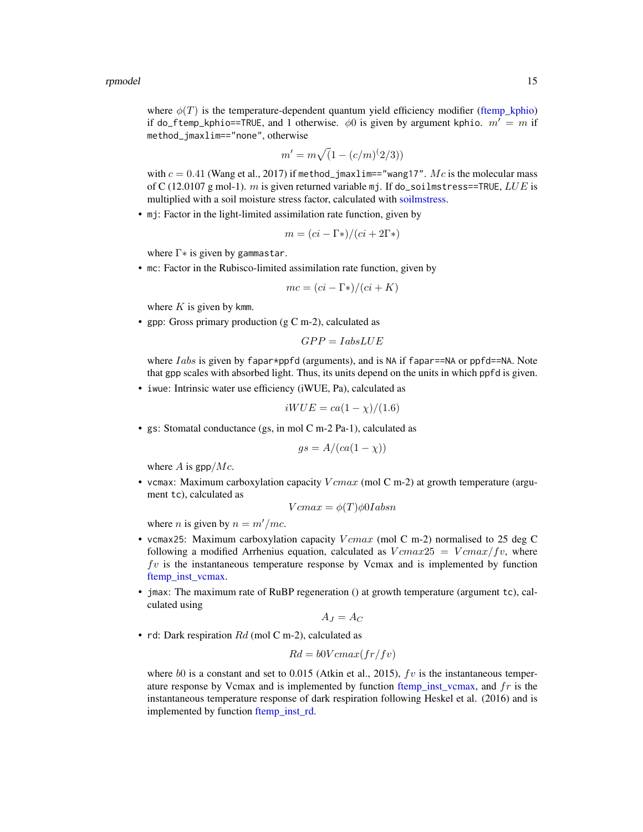#### <span id="page-14-0"></span>rpmodel and the state of the state of the state of the state of the state of the state of the state of the state of the state of the state of the state of the state of the state of the state of the state of the state of th

where  $\phi(T)$  is the temperature-dependent quantum yield efficiency modifier [\(ftemp\\_kphio\)](#page-7-1) if do\_ftemp\_kphio==TRUE, and 1 otherwise.  $\phi$ 0 is given by argument kphio.  $m' = m$  if method\_jmaxlim=="none", otherwise

$$
m' = m\sqrt{(1 - (c/m)^{(2/3)})}
$$

with  $c = 0.41$  (Wang et al., 2017) if method\_jmax1im=="wang17". Mc is the molecular mass of C (12.0107 g mol-1).  $m$  is given returned variable mj. If do\_soilmstress==TRUE,  $LUE$  is multiplied with a soil moisture stress factor, calculated with [soilmstress.](#page-16-1)

• mj: Factor in the light-limited assimilation rate function, given by

$$
m = (ci - \Gamma^*)/(ci + 2\Gamma^*)
$$

where  $\Gamma$ <sup>\*</sup> is given by gammastar.

• mc: Factor in the Rubisco-limited assimilation rate function, given by

$$
mc = (ci - \Gamma*)/(ci + K)
$$

where  $K$  is given by kmm.

• gpp: Gross primary production (g C m-2), calculated as

$$
GPP = IabsLUE
$$

where *Iabs* is given by fapar\*ppfd (arguments), and is NA if fapar==NA or ppfd==NA. Note that gpp scales with absorbed light. Thus, its units depend on the units in which ppfd is given.

• iwue: Intrinsic water use efficiency (iWUE, Pa), calculated as

$$
iWUE = ca(1 - \chi)/(1.6)
$$

• gs: Stomatal conductance (gs, in mol C m-2 Pa-1), calculated as

$$
gs = A/(ca(1 - \chi))
$$

where  $A$  is gpp/ $Mc$ .

• vcmax: Maximum carboxylation capacity  $Vcmax$  (mol C m-2) at growth temperature (argument tc), calculated as

$$
Vcmax = \phi(T)\phi0Iabsn
$$

where *n* is given by  $n = m'/mc$ .

- vcmax25: Maximum carboxylation capacity  $Vcmax$  (mol C m-2) normalised to 25 deg C following a modified Arrhenius equation, calculated as  $Vcmax25 = Vcmax/fv$ , where  $f\nu$  is the instantaneous temperature response by Vcmax and is implemented by function [ftemp\\_inst\\_vcmax.](#page-6-1)
- jmax: The maximum rate of RuBP regeneration () at growth temperature (argument tc), calculated using

$$
A_J=A_C
$$

• rd: Dark respiration  $Rd$  (mol C m-2), calculated as

$$
Rd = b0Vcmax(fr/fv)
$$

where b0 is a constant and set to 0.015 (Atkin et al., 2015),  $fv$  is the instantaneous temperature response by Vcmax and is implemented by function [ftemp\\_inst\\_vcmax,](#page-6-1) and  $fr$  is the instantaneous temperature response of dark respiration following Heskel et al. (2016) and is implemented by function [ftemp\\_inst\\_rd.](#page-5-1)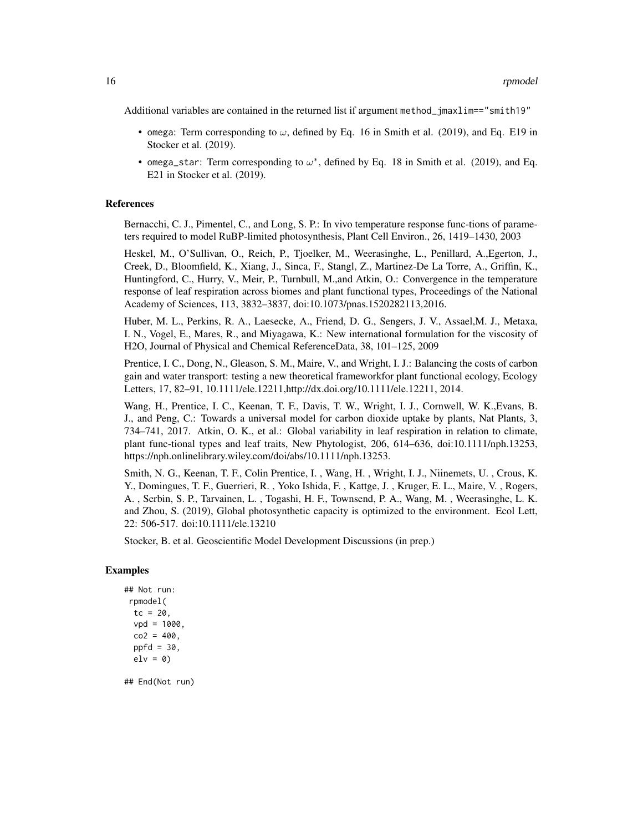Additional variables are contained in the returned list if argument method\_jmaxlim=="smith19"

- omega: Term corresponding to  $\omega$ , defined by Eq. 16 in Smith et al. (2019), and Eq. E19 in Stocker et al. (2019).
- omega\_star: Term corresponding to  $\omega^*$ , defined by Eq. 18 in Smith et al. (2019), and Eq. E21 in Stocker et al. (2019).

#### References

Bernacchi, C. J., Pimentel, C., and Long, S. P.: In vivo temperature response func-tions of parameters required to model RuBP-limited photosynthesis, Plant Cell Environ., 26, 1419–1430, 2003

Heskel, M., O'Sullivan, O., Reich, P., Tjoelker, M., Weerasinghe, L., Penillard, A.,Egerton, J., Creek, D., Bloomfield, K., Xiang, J., Sinca, F., Stangl, Z., Martinez-De La Torre, A., Griffin, K., Huntingford, C., Hurry, V., Meir, P., Turnbull, M.,and Atkin, O.: Convergence in the temperature response of leaf respiration across biomes and plant functional types, Proceedings of the National Academy of Sciences, 113, 3832–3837, doi:10.1073/pnas.1520282113,2016.

Huber, M. L., Perkins, R. A., Laesecke, A., Friend, D. G., Sengers, J. V., Assael,M. J., Metaxa, I. N., Vogel, E., Mares, R., and Miyagawa, K.: New international formulation for the viscosity of H2O, Journal of Physical and Chemical ReferenceData, 38, 101–125, 2009

Prentice, I. C., Dong, N., Gleason, S. M., Maire, V., and Wright, I. J.: Balancing the costs of carbon gain and water transport: testing a new theoretical frameworkfor plant functional ecology, Ecology Letters, 17, 82–91, 10.1111/ele.12211,http://dx.doi.org/10.1111/ele.12211, 2014.

Wang, H., Prentice, I. C., Keenan, T. F., Davis, T. W., Wright, I. J., Cornwell, W. K.,Evans, B. J., and Peng, C.: Towards a universal model for carbon dioxide uptake by plants, Nat Plants, 3, 734–741, 2017. Atkin, O. K., et al.: Global variability in leaf respiration in relation to climate, plant func-tional types and leaf traits, New Phytologist, 206, 614–636, doi:10.1111/nph.13253, https://nph.onlinelibrary.wiley.com/doi/abs/10.1111/nph.13253.

Smith, N. G., Keenan, T. F., Colin Prentice, I. , Wang, H. , Wright, I. J., Niinemets, U. , Crous, K. Y., Domingues, T. F., Guerrieri, R. , Yoko Ishida, F. , Kattge, J. , Kruger, E. L., Maire, V. , Rogers, A. , Serbin, S. P., Tarvainen, L. , Togashi, H. F., Townsend, P. A., Wang, M. , Weerasinghe, L. K. and Zhou, S. (2019), Global photosynthetic capacity is optimized to the environment. Ecol Lett, 22: 506-517. doi:10.1111/ele.13210

Stocker, B. et al. Geoscientific Model Development Discussions (in prep.)

#### Examples

```
## Not run:
rpmodel(
 tc = 20,
 vpd = 1000,
 co2 = 400,
 ppfd = 30,elv = 0)
```
## End(Not run)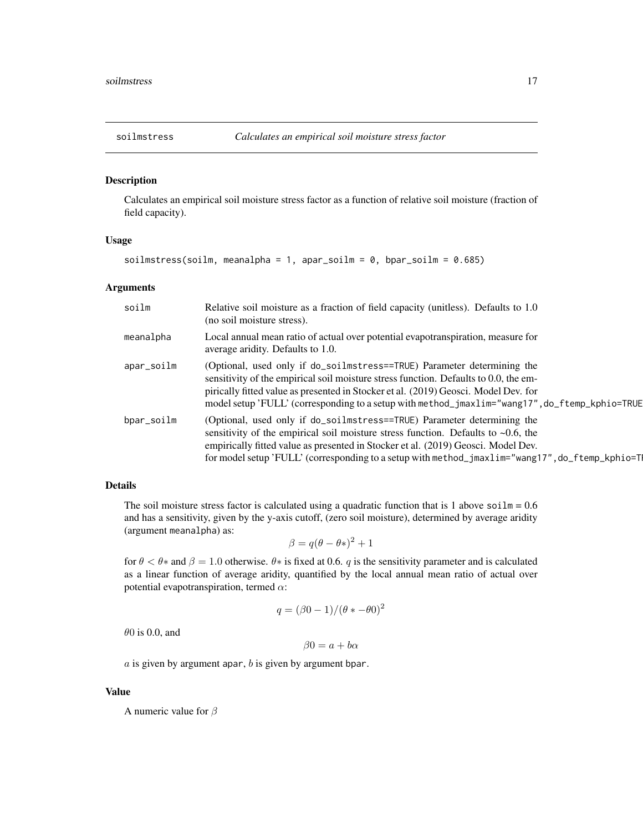<span id="page-16-1"></span><span id="page-16-0"></span>

#### Description

Calculates an empirical soil moisture stress factor as a function of relative soil moisture (fraction of field capacity).

#### Usage

soilmstress(soilm, meanalpha = 1, apar\_soilm = 0, bpar\_soilm =  $0.685$ )

### Arguments

| soilm      | Relative soil moisture as a fraction of field capacity (unitless). Defaults to 1.0<br>(no soil moisture stress).                                                                                                                                                                                                                                            |
|------------|-------------------------------------------------------------------------------------------------------------------------------------------------------------------------------------------------------------------------------------------------------------------------------------------------------------------------------------------------------------|
| meanalpha  | Local annual mean ratio of actual over potential evapotranspiration, measure for<br>average aridity. Defaults to 1.0.                                                                                                                                                                                                                                       |
| apar_soilm | (Optional, used only if do_soilmstress==TRUE) Parameter determining the<br>sensitivity of the empirical soil moisture stress function. Defaults to 0.0, the em-<br>pirically fitted value as presented in Stocker et al. (2019) Geosci. Model Dev. for<br>model setup 'FULL' (corresponding to a setup with method_jmaxlim="wang17", do_ftemp_kphio=TRUE    |
| bpar_soilm | (Optional, used only if do_soilmstress==TRUE) Parameter determining the<br>sensitivity of the empirical soil moisture stress function. Defaults to $\sim 0.6$ , the<br>empirically fitted value as presented in Stocker et al. (2019) Geosci. Model Dev.<br>for model setup 'FULL' (corresponding to a setup with method_jmaxlim="wang17", do_ftemp_kphio=T |

# Details

The soil moisture stress factor is calculated using a quadratic function that is 1 above soilm =  $0.6$ and has a sensitivity, given by the y-axis cutoff, (zero soil moisture), determined by average aridity (argument meanalpha) as:

$$
\beta = q(\theta - \theta^*)^2 + 1
$$

for  $\theta < \theta *$  and  $\beta = 1.0$  otherwise.  $\theta *$  is fixed at 0.6. q is the sensitivity parameter and is calculated as a linear function of average aridity, quantified by the local annual mean ratio of actual over potential evapotranspiration, termed  $\alpha$ :

$$
q = (\beta 0 - 1) / (\theta * -\theta 0)^2
$$

 $\theta$ 0 is 0.0, and

 $\beta 0 = a + b\alpha$ 

 $a$  is given by argument apar,  $b$  is given by argument bpar.

#### Value

A numeric value for  $\beta$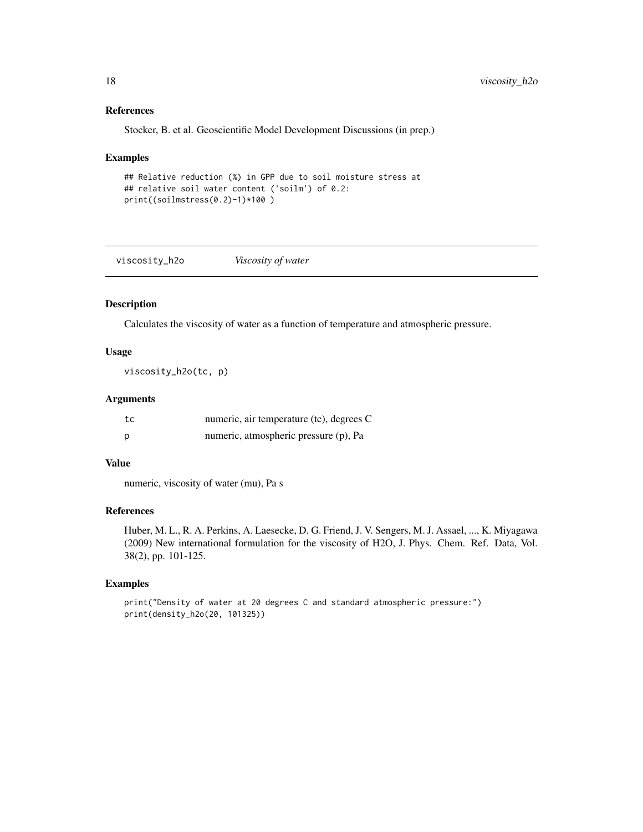# References

Stocker, B. et al. Geoscientific Model Development Discussions (in prep.)

#### Examples

```
## Relative reduction (%) in GPP due to soil moisture stress at
## relative soil water content ('soilm') of 0.2:
print((soilmstress(0.2)-1)*100 )
```
viscosity\_h2o *Viscosity of water*

### Description

Calculates the viscosity of water as a function of temperature and atmospheric pressure.

# Usage

viscosity\_h2o(tc, p)

# Arguments

| tc | numeric, air temperature (tc), degrees C |
|----|------------------------------------------|
| D  | numeric, atmospheric pressure (p), Pa    |

# Value

numeric, viscosity of water (mu), Pa s

# References

Huber, M. L., R. A. Perkins, A. Laesecke, D. G. Friend, J. V. Sengers, M. J. Assael, ..., K. Miyagawa (2009) New international formulation for the viscosity of H2O, J. Phys. Chem. Ref. Data, Vol. 38(2), pp. 101-125.

# Examples

print("Density of water at 20 degrees C and standard atmospheric pressure:") print(density\_h2o(20, 101325))

<span id="page-17-0"></span>